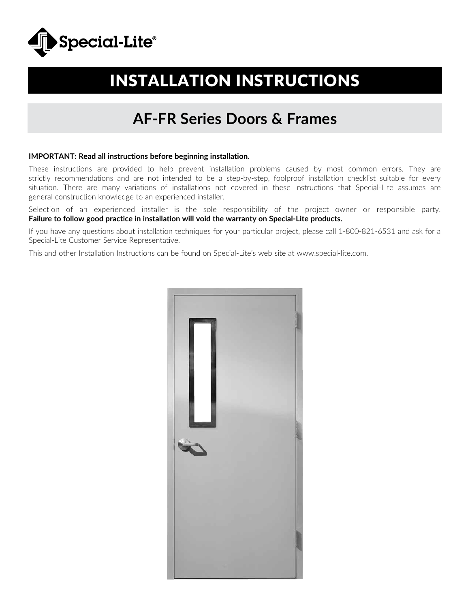

# INSTALLATION INSTRUCTIONS

# **AF-FR Series Doors & Frames**

### **IMPORTANT: Read all instructions before beginning installation.**

These instructions are provided to help prevent installation problems caused by most common errors. They are strictly recommendations and are not intended to be a step-by-step, foolproof installation checklist suitable for every situation. There are many variations of installations not covered in these instructions that Special-Lite assumes are general construction knowledge to an experienced installer.

Selection of an experienced installer is the sole responsibility of the project owner or responsible party. **Failure to follow good practice in installation will void the warranty on Special-Lite products.**

If you have any questions about installation techniques for your particular project, please call 1-800-821-6531 and ask for a Special-Lite Customer Service Representative.

This and other Installation Instructions can be found on Special-Lite's web site at www.special-lite.com.

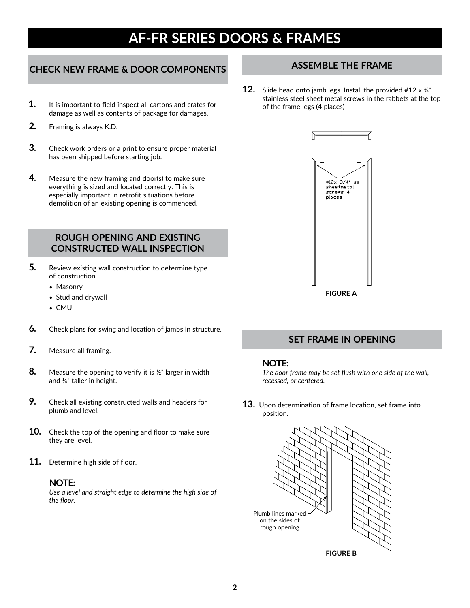# **CHECK NEW FRAME & DOOR COMPONENTS**

- **1.** It is important to field inspect all cartons and crates for damage as well as contents of package for damages.
- **2.** Framing is always K.D.
- **3.** Check work orders or a print to ensure proper material has been shipped before starting job.
- **4.** Measure the new framing and door(s) to make sure everything is sized and located correctly. This is especially important in retrofit situations before demolition of an existing opening is commenced.

# **ROUGH OPENING AND EXISTING CONSTRUCTED WALL INSPECTION**

- **5.** Review existing wall construction to determine type of construction
	- *•* Masonry
	- *•* Stud and drywall
	- *•* CMU
- **6.** Check plans for swing and location of jambs in structure.
- **7.** Measure all framing.
- **8.** Measure the opening to verify it is ½" larger in width and ¼" taller in height.
- **9.** Check all existing constructed walls and headers for plumb and level.
- **10.** Check the top of the opening and floor to make sure they are level.
- **11.** Determine high side of floor.

## **NOTE:**

*Use a level and straight edge to determine the high side of the floor.* 

# **ASSEMBLE THE FRAME**

**12.** Slide head onto jamb legs. Install the provided #12 x ¾" stainless steel sheet metal screws in the rabbets at the top of the frame legs (4 places)



# **SET FRAME IN OPENING**

### **NOTE:**

*The door frame may be set flush with one side of the wall, recessed, or centered.*

**13.** Upon determination of frame location, set frame into position.

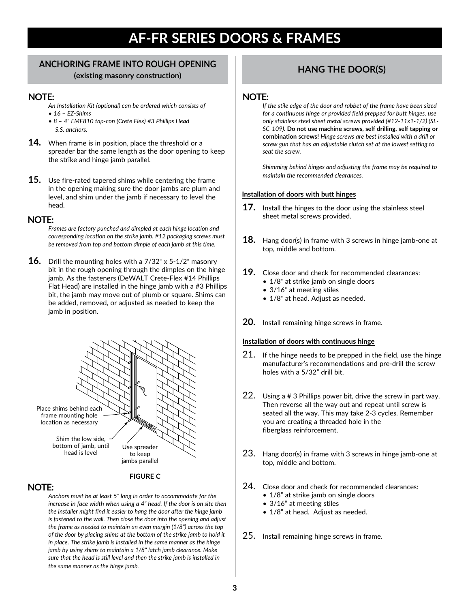## **ANCHORING FRAME INTO ROUGH OPENING (existing masonry construction) HANG THE DOOR(S)**

## **NOTE:**

- *An Installation Kit (optional) can be ordered which consists of* • *16 – EZ-Shims*
- *8 4" EMF810 tap-con (Crete Flex) #3 Phillips Head S.S. anchors.*
- **14.** When frame is in position, place the threshold or a spreader bar the same length as the door opening to keep the strike and hinge jamb parallel.
- **15.** Use fire-rated tapered shims while centering the frame in the opening making sure the door jambs are plum and level, and shim under the jamb if necessary to level the head.

### **NOTE:**

*Frames are factory punched and dimpled at each hinge location and corresponding location on the strike jamb. #12 packaging screws must be removed from top and bottom dimple of each jamb at this time.*

**16.** Drill the mounting holes with a 7/32" x 5-1/2" masonry bit in the rough opening through the dimples on the hinge jamb. As the fasteners (DeWALT Crete-Flex #14 Phillips Flat Head) are installed in the hinge jamb with a #3 Phillips bit, the jamb may move out of plumb or square. Shims can be added, removed, or adjusted as needed to keep the jamb in position.



#### **FIGURE C**

## **NOTE:**

*Anchors must be at least 5" long in order to accommodate for the increase in face width when using a 4" head. If the door is on site then the installer might find it easier to hang the door after the hinge jamb is fastened to the wall. Then close the door into the opening and adjust the frame as needed to maintain an even margin (1/8") across the top of the door by placing shims at the bottom of the strike jamb to hold it in place. The strike jamb is installed in the same manner as the hinge jamb by using shims to maintain a 1/8" latch jamb clearance. Make sure that the head is still level and then the strike jamb is installed in the same manner as the hinge jamb.*

## **NOTE:**

*If the stile edge of the door and rabbet of the frame have been sized for a continuous hinge or provided field prepped for butt hinges, use only stainless steel sheet metal screws provided (#12-11x1-1/2) (SL-SC-109).* **Do not use machine screws, self drilling, self tapping or combination screws!** *Hinge screws are best installed with a drill or screw gun that has an adjustable clutch set at the lowest setting to seat the screw.* 

*Shimming behind hinges and adjusting the frame may be required to maintain the recommended clearances.* 

#### **Installation of doors with butt hinges**

- **17.** Install the hinges to the door using the stainless steel sheet metal screws provided.
- **18.** Hang door(s) in frame with 3 screws in hinge jamb-one at top, middle and bottom.
- **19.** Close door and check for recommended clearances:
	- 1/8" at strike jamb on single doors
	- 3/16" at meeting stiles
	- 1/8" at head. Adjust as needed.
- **20.** Install remaining hinge screws in frame.

#### **Installation of doors with continuous hinge**

- 21. If the hinge needs to be prepped in the field, use the hinge manufacturer's recommendations and pre-drill the screw holes with a 5/32" drill bit.
- 22. Using a # 3 Phillips power bit, drive the screw in part way. Then reverse all the way out and repeat until screw is seated all the way. This may take 2-3 cycles. Remember you are creating a threaded hole in the fiberglass reinforcement.
- 23. Hang door(s) in frame with 3 screws in hinge jamb-one at top, middle and bottom.
- 24. Close door and check for recommended clearances:
	- 1/8" at strike jamb on single doors
	- 3/16" at meeting stiles
	- 1/8" at head. Adjust as needed.
- 25. Install remaining hinge screws in frame.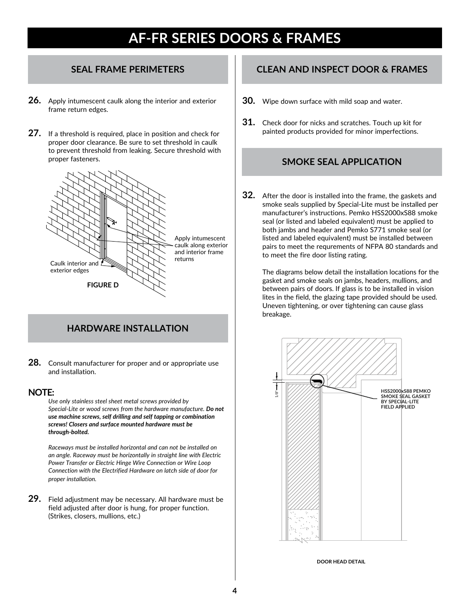- **26.** Apply intumescent caulk along the interior and exterior frame return edges.
- **27.** If a threshold is required, place in position and check for proper door clearance. Be sure to set threshold in caulk to prevent threshold from leaking. Secure threshold with proper fasteners.



# **HARDWARE INSTALLATION**

**28.** Consult manufacturer for proper and or appropriate use and installation.

## **NOTE:**

*Use only stainless steel sheet metal screws provided by Special-Lite or wood screws from the hardware manufacture. Do not use machine screws, self drilling and self tapping or combination screws! Closers and surface mounted hardware must be through-bolted.*

*Raceways must be installed horizontal and can not be installed on an angle. Raceway must be horizontally in straight line with Electric Power Transfer or Electric Hinge Wire Connection or Wire Loop Connection with the Electrified Hardware on latch side of door for proper installation.*

**29.** Field adjustment may be necessary. All hardware must be field adjusted after door is hung, for proper function. (Strikes, closers, mullions, etc.)

# **SEAL FRAME PERIMETERS CLEAN AND INSPECT DOOR & FRAMES**

- **30.** Wipe down surface with mild soap and water.
- **31.** Check door for nicks and scratches. Touch up kit for painted products provided for minor imperfections.

# **SMOKE SEAL APPLICATION**

**32.** After the door is installed into the frame, the gaskets and smoke seals supplied by Special-Lite must be installed per manufacturer's instructions. Pemko HSS2000xS88 smoke seal (or listed and labeled equivalent) must be applied to both jambs and header and Pemko S771 smoke seal (or listed and labeled equivalent) must be installed between pairs to meet the requrements of NFPA 80 standards and to meet the fire door listing rating.

The diagrams below detail the installation locations for the gasket and smoke seals on jambs, headers, mullions, and between pairs of doors. If glass is to be installed in vision lites in the field, the glazing tape provided should be used. Uneven tightening, or over tightening can cause glass breakage.



**DOOR HEAD DETAIL**